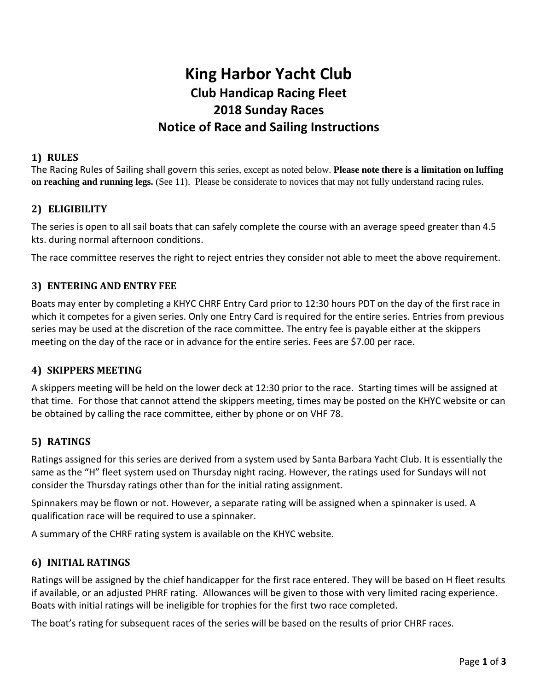# **King Harbor Yacht Club Club Handicap Racing Fleet 2018 Sunday Races Notice of Race and Sailing Instructions**

#### **1) RULES**

The Racing Rules of Sailing shall govern this series, except as noted below. **Please note there is a limitation on luffing on reaching and running legs.** (See 11). Please be considerate to novices that may not fully understand racing rules.

## **2) ELIGIBILITY**

The series is open to all sail boats that can safely complete the course with an average speed greater than 4.5 kts. during normal afternoon conditions.

The race committee reserves the right to reject entries they consider not able to meet the above requirement.

#### **3) ENTERING AND ENTRY FEE**

Boats may enter by completing a KHYC CHRF Entry Card prior to 12:30 hours PDT on the day of the first race in which it competes for a given series. Only one Entry Card is required for the entire series. Entries from previous series may be used at the discretion of the race committee. The entry fee is payable either at the skippers meeting on the day of the race or in advance for the entire series. Fees are \$7.00 per race.

#### **4) SKIPPERS MEETING**

A skippers meeting will be held on the lower deck at 12:30 prior to the race. Starting times will be assigned at that time. For those that cannot attend the skippers meeting, times may be posted on the KHYC website or can be obtained by calling the race committee, either by phone or on VHF 78.

## **5) RATINGS**

Ratings assigned for this series are derived from a system used by Santa Barbara Yacht Club. It is essentially the same as the "H" fleet system used on Thursday night racing. However, the ratings used for Sundays will not consider the Thursday ratings other than for the initial rating assignment.

Spinnakers may be flown or not. However, a separate rating will be assigned when a spinnaker is used. A qualification race will be required to use a spinnaker.

A summary of the CHRF rating system is available on the KHYC website.

#### **6) INITIAL RATINGS**

Ratings will be assigned by the chief handicapper for the first race entered. They will be based on H fleet results if available, or an adjusted PHRF rating. Allowances will be given to those with very limited racing experience. Boats with initial ratings will be ineligible for trophies for the first two race completed.

The boat's rating for subsequent races of the series will be based on the results of prior CHRF races.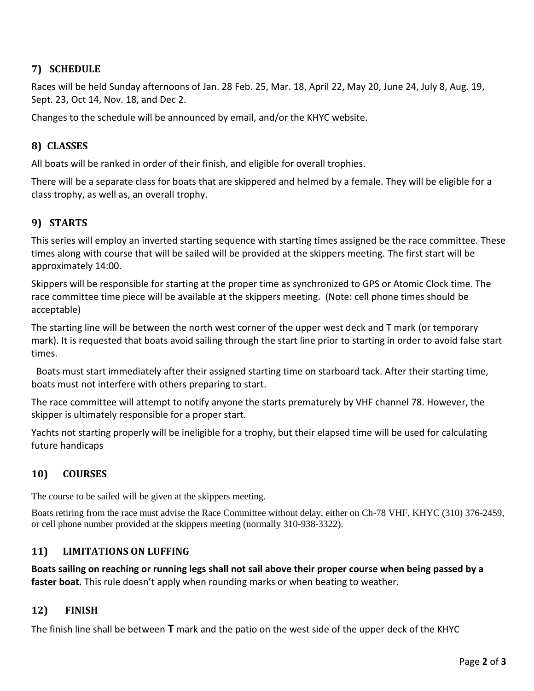## **7) SCHEDULE**

Races will be held Sunday afternoons of Jan. 28 Feb. 25, Mar. 18, April 22, May 20, June 24, July 8, Aug. 19, Sept. 23, Oct 14, Nov. 18, and Dec 2.

Changes to the schedule will be announced by email, and/or the KHYC website.

# **8) CLASSES**

All boats will be ranked in order of their finish, and eligible for overall trophies.

There will be a separate class for boats that are skippered and helmed by a female. They will be eligible for a class trophy, as well as, an overall trophy.

# **9) STARTS**

This series will employ an inverted starting sequence with starting times assigned be the race committee. These times along with course that will be sailed will be provided at the skippers meeting. The first start will be approximately 14:00.

Skippers will be responsible for starting at the proper time as synchronized to GPS or Atomic Clock time. The race committee time piece will be available at the skippers meeting. (Note: cell phone times should be acceptable)

The starting line will be between the north west corner of the upper west deck and T mark (or temporary mark). It is requested that boats avoid sailing through the start line prior to starting in order to avoid false start times.

 Boats must start immediately after their assigned starting time on starboard tack. After their starting time, boats must not interfere with others preparing to start.

The race committee will attempt to notify anyone the starts prematurely by VHF channel 78. However, the skipper is ultimately responsible for a proper start.

Yachts not starting properly will be ineligible for a trophy, but their elapsed time will be used for calculating future handicaps

## **10) COURSES**

The course to be sailed will be given at the skippers meeting.

Boats retiring from the race must advise the Race Committee without delay, either on Ch-78 VHF, KHYC (310) 376-2459, or cell phone number provided at the skippers meeting (normally 310-938-3322).

## **11) LIMITATIONS ON LUFFING**

**Boats sailing on reaching or running legs shall not sail above their proper course when being passed by a faster boat.** This rule doesn't apply when rounding marks or when beating to weather.

## **12) FINISH**

The finish line shall be between **T** mark and the patio on the west side of the upper deck of the KHYC